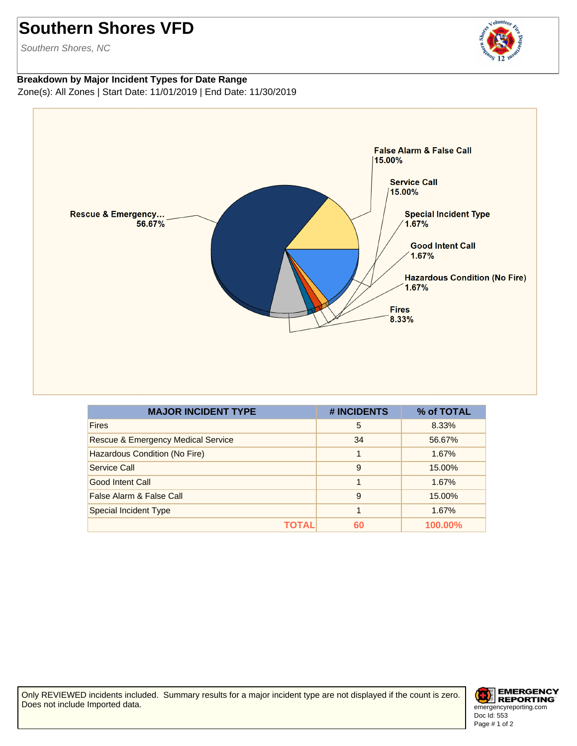## **Southern Shores VFD**

Southern Shores, NC

## volunteer

## **Breakdown by Major Incident Types for Date Range** Zone(s): All Zones | Start Date: 11/01/2019 | End Date: 11/30/2019



| <b>MAJOR INCIDENT TYPE</b>                    | # INCIDENTS | % of TOTAL |
|-----------------------------------------------|-------------|------------|
| <b>Fires</b>                                  | 5           | 8.33%      |
| <b>Rescue &amp; Emergency Medical Service</b> | 34          | 56.67%     |
| Hazardous Condition (No Fire)                 |             | 1.67%      |
| Service Call                                  | 9           | 15.00%     |
| Good Intent Call                              | 1           | 1.67%      |
| False Alarm & False Call                      | 9           | 15.00%     |
| <b>Special Incident Type</b>                  |             | 1.67%      |
| ΤΟΤΑL                                         | 60          | $100.00\%$ |

Only REVIEWED incidents included. Summary results for a major incident type are not displayed if the count is zero. Does not include Imported data.